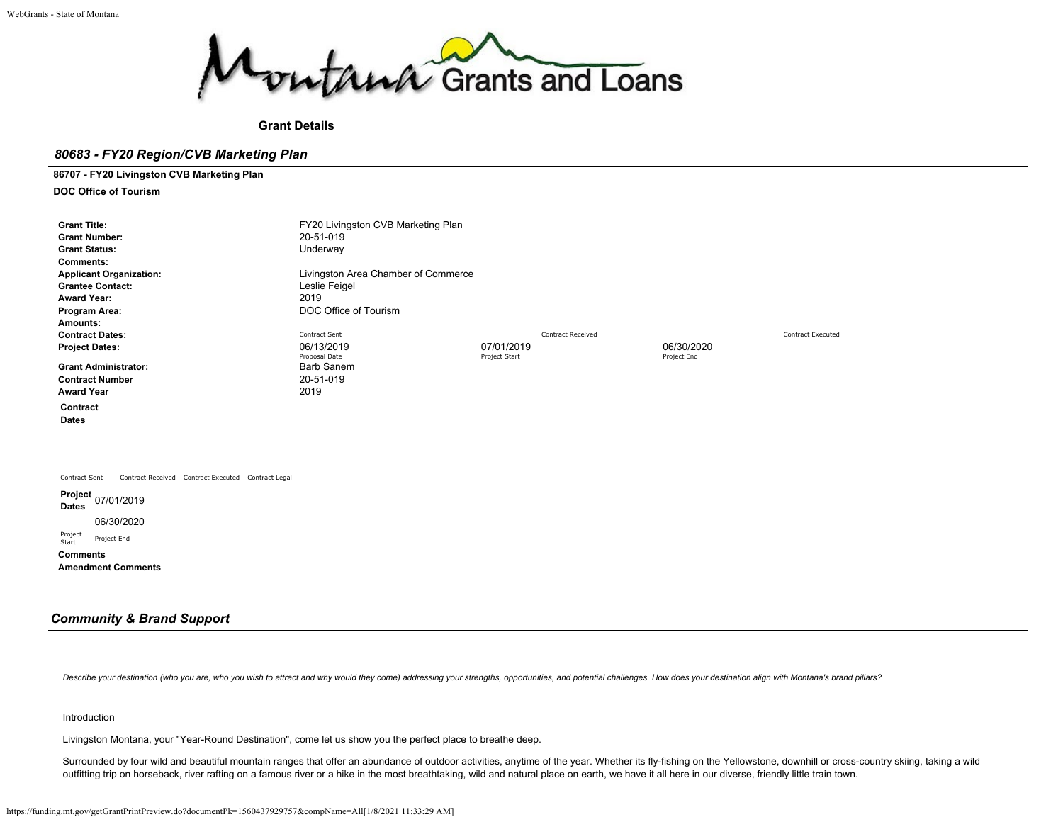

**Grant Details**

### *80683 - FY20 Region/CVB Marketing Plan*

**86707 - FY20 Livingston CVB Marketing Plan**

**DOC Office of Tourism**

| <b>Grant Title:</b>                                                 | FY20 Livingston CVB Marketing Plan  |               |                          |             |                          |
|---------------------------------------------------------------------|-------------------------------------|---------------|--------------------------|-------------|--------------------------|
| <b>Grant Number:</b>                                                | 20-51-019                           |               |                          |             |                          |
| <b>Grant Status:</b>                                                | Underway                            |               |                          |             |                          |
| <b>Comments:</b>                                                    |                                     |               |                          |             |                          |
| <b>Applicant Organization:</b>                                      | Livingston Area Chamber of Commerce |               |                          |             |                          |
| <b>Grantee Contact:</b>                                             | Leslie Feigel                       |               |                          |             |                          |
| <b>Award Year:</b>                                                  | 2019                                |               |                          |             |                          |
| Program Area:                                                       | DOC Office of Tourism               |               |                          |             |                          |
| Amounts:                                                            |                                     |               |                          |             |                          |
| <b>Contract Dates:</b>                                              | Contract Sent                       |               | <b>Contract Received</b> |             | <b>Contract Executed</b> |
| <b>Project Dates:</b>                                               | 06/13/2019                          | 07/01/2019    |                          | 06/30/2020  |                          |
|                                                                     | Proposal Date                       | Project Start |                          | Project End |                          |
| <b>Grant Administrator:</b>                                         | <b>Barb Sanem</b>                   |               |                          |             |                          |
| <b>Contract Number</b>                                              | 20-51-019                           |               |                          |             |                          |
| <b>Award Year</b>                                                   | 2019                                |               |                          |             |                          |
| Contract                                                            |                                     |               |                          |             |                          |
| <b>Dates</b>                                                        |                                     |               |                          |             |                          |
|                                                                     |                                     |               |                          |             |                          |
|                                                                     |                                     |               |                          |             |                          |
|                                                                     |                                     |               |                          |             |                          |
|                                                                     |                                     |               |                          |             |                          |
| Contract Received Contract Executed Contract Legal<br>Contract Sent |                                     |               |                          |             |                          |
| Project 07/01/2019<br><b>Dates</b>                                  |                                     |               |                          |             |                          |
| 06/30/2020                                                          |                                     |               |                          |             |                          |
| Project<br>Project End<br>$C + \sim +$                              |                                     |               |                          |             |                          |

Project<br>Start **Comments**

**Amendment Comments**

## *Community & Brand Support*

Describe your destination (who you are, who you wish to attract and why would they come) addressing your strengths, opportunities, and potential challenges. How does your destination align with Montana's brand pillars?

#### Introduction

Livingston Montana, your "Year-Round Destination", come let us show you the perfect place to breathe deep.

Surrounded by four wild and beautiful mountain ranges that offer an abundance of outdoor activities, anytime of the year. Whether its fly-fishing on the Yellowstone, downhill or cross-country skiing, taking a wild outfitting trip on horseback, river rafting on a famous river or a hike in the most breathtaking, wild and natural place on earth, we have it all here in our diverse, friendly little train town.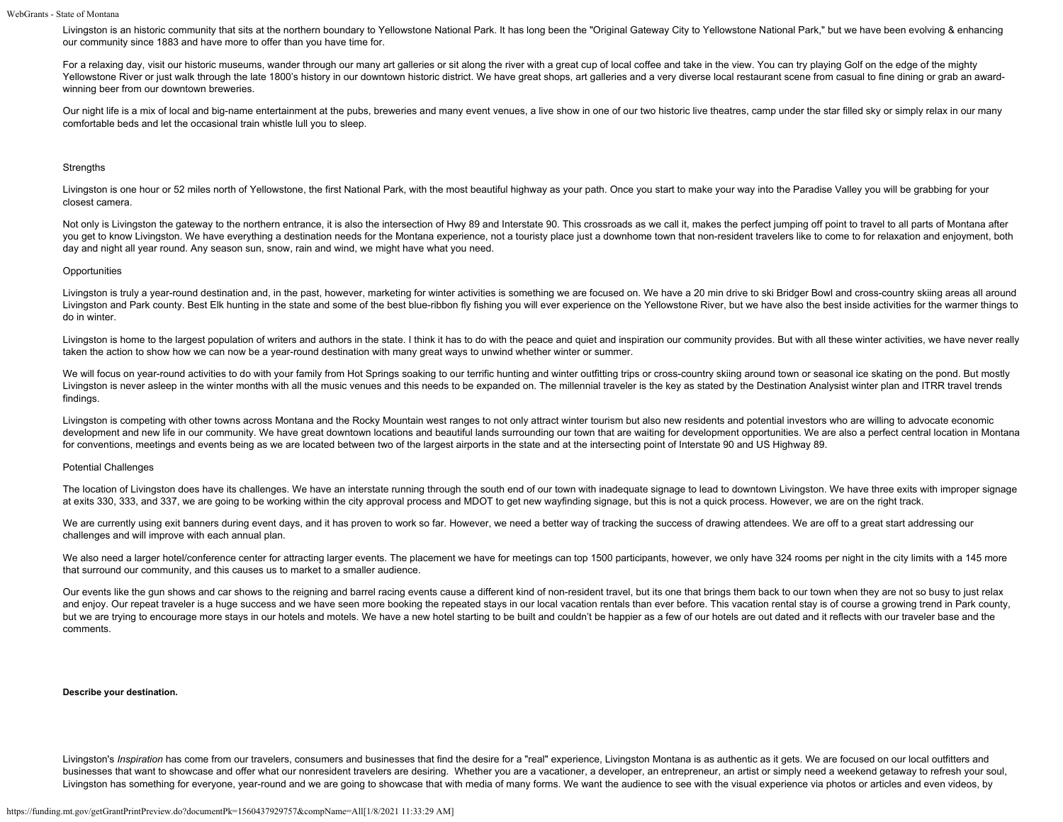Livingston is an historic community that sits at the northern boundary to Yellowstone National Park. It has long been the "Original Gateway City to Yellowstone National Park," but we have been evolving & enhancing our community since 1883 and have more to offer than you have time for.

For a relaxing day, visit our historic museums, wander through our many art galleries or sit along the river with a great cup of local coffee and take in the view. You can try playing Golf on the edge of the mighty Yellowstone River or just walk through the late 1800's history in our downtown historic district. We have great shops, art galleries and a very diverse local restaurant scene from casual to fine dining or grab an awardwinning beer from our downtown breweries.

Our night life is a mix of local and big-name entertainment at the pubs, breweries and many event venues, a live show in one of our two historic live theatres, camp under the star filled sky or simply relax in our many comfortable beds and let the occasional train whistle lull you to sleep.

#### **Strengths**

Livingston is one hour or 52 miles north of Yellowstone, the first National Park, with the most beautiful highway as your path. Once you start to make your way into the Paradise Valley you will be grabbing for your closest camera.

Not only is Livingston the gateway to the northern entrance, it is also the intersection of Hwy 89 and Interstate 90. This crossroads as we call it, makes the perfect jumping off point to travel to all parts of Montana aft you get to know Livingston. We have everything a destination needs for the Montana experience, not a touristy place just a downhome town that non-resident travelers like to come to for relaxation and enjoyment, both day and night all year round. Any season sun, snow, rain and wind, we might have what you need.

#### **Opportunities**

Livingston is truly a year-round destination and, in the past, however, marketing for winter activities is something we are focused on. We have a 20 min drive to ski Bridger Bowl and cross-country skiing areas all around Livingston and Park county. Best Elk hunting in the state and some of the best blue-ribbon fly fishing you will ever experience on the Yellowstone River, but we have also the best inside activities for the warmer things to do in winter.

Livingston is home to the largest population of writers and authors in the state. I think it has to do with the peace and quiet and inspiration our community provides. But with all these winter activities, we have never re taken the action to show how we can now be a year-round destination with many great ways to unwind whether winter or summer.

We will focus on year-round activities to do with your family from Hot Springs soaking to our terrific hunting and winter outfitting trips or cross-country skiing around town or seasonal ice skating on the pond. But mostly Livingston is never asleep in the winter months with all the music venues and this needs to be expanded on. The millennial traveler is the key as stated by the Destination Analysist winter plan and ITRR travel trends findings.

Livingston is competing with other towns across Montana and the Rocky Mountain west ranges to not only attract winter tourism but also new residents and potential investors who are willing to advocate economic development and new life in our community. We have great downtown locations and beautiful lands surrounding our town that are waiting for development opportunities. We are also a perfect central location in Montana for conventions, meetings and events being as we are located between two of the largest airports in the state and at the intersecting point of Interstate 90 and US Highway 89.

#### Potential Challenges

The location of Livingston does have its challenges. We have an interstate running through the south end of our town with inadequate signage to lead to downtown Livingston. We have three exits with improper signage at exits 330, 333, and 337, we are going to be working within the city approval process and MDOT to get new wayfinding signage, but this is not a quick process. However, we are on the right track.

We are currently using exit banners during event days, and it has proven to work so far. However, we need a better way of tracking the success of drawing attendees. We are off to a great start addressing our challenges and will improve with each annual plan.

We also need a larger hotel/conference center for attracting larger events. The placement we have for meetings can top 1500 participants, however, we only have 324 rooms per night in the city limits with a 145 more that surround our community, and this causes us to market to a smaller audience.

Our events like the gun shows and car shows to the reigning and barrel racing events cause a different kind of non-resident travel, but its one that brings them back to our town when they are not so busy to just relax and enjoy. Our repeat traveler is a huge success and we have seen more booking the repeated stays in our local vacation rentals than ever before. This vacation rental stay is of course a growing trend in Park county, but we are trying to encourage more stays in our hotels and motels. We have a new hotel starting to be built and couldn't be happier as a few of our hotels are out dated and it reflects with our traveler base and the comments.

#### **Describe your destination.**

Livingston's *Inspiration* has come from our travelers, consumers and businesses that find the desire for a "real" experience, Livingston Montana is as authentic as it gets. We are focused on our local outfitters and businesses that want to showcase and offer what our nonresident travelers are desiring. Whether you are a vacationer, a developer, an entrepreneur, an artist or simply need a weekend getaway to refresh your soul, Livingston has something for everyone, year-round and we are going to showcase that with media of many forms. We want the audience to see with the visual experience via photos or articles and even videos, by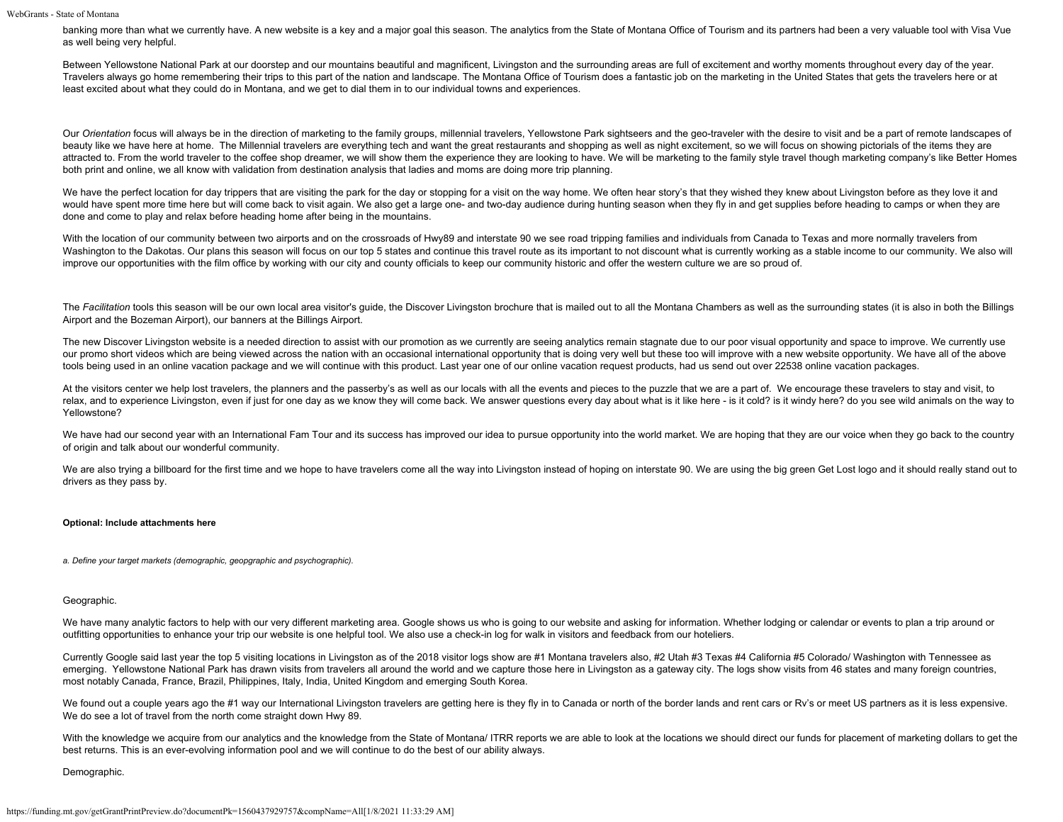banking more than what we currently have. A new website is a key and a major goal this season. The analytics from the State of Montana Office of Tourism and its partners had been a very valuable tool with Visa Vue as well being very helpful.

Between Yellowstone National Park at our doorstep and our mountains beautiful and magnificent, Livingston and the surrounding areas are full of excitement and worthy moments throughout every day of the year. Travelers always go home remembering their trips to this part of the nation and landscape. The Montana Office of Tourism does a fantastic job on the marketing in the United States that gets the travelers here or at least excited about what they could do in Montana, and we get to dial them in to our individual towns and experiences.

Our Orientation focus will always be in the direction of marketing to the family groups, millennial travelers, Yellowstone Park sightseers and the geo-traveler with the desire to visit and be a part of remote landscapes of beauty like we have here at home. The Millennial travelers are everything tech and want the great restaurants and shopping as well as night excitement, so we will focus on showing pictorials of the items they are attracted to. From the world traveler to the coffee shop dreamer, we will show them the experience they are looking to have. We will be marketing to the family style travel though marketing company's like Better Homes both print and online, we all know with validation from destination analysis that ladies and moms are doing more trip planning.

We have the perfect location for day trippers that are visiting the park for the day or stopping for a visit on the way home. We often hear story's that they wished they knew about Livingston before as they love it and would have spent more time here but will come back to visit again. We also get a large one- and two-day audience during hunting season when they fly in and get supplies before heading to camps or when they are done and come to play and relax before heading home after being in the mountains.

With the location of our community between two airports and on the crossroads of Hwy89 and interstate 90 we see road tripping families and individuals from Canada to Texas and more normally travelers from Washington to the Dakotas. Our plans this season will focus on our top 5 states and continue this travel route as its important to not discount what is currently working as a stable income to our community. We also will improve our opportunities with the film office by working with our city and county officials to keep our community historic and offer the western culture we are so proud of.

The Facilitation tools this season will be our own local area visitor's guide, the Discover Livingston brochure that is mailed out to all the Montana Chambers as well as the surrounding states (it is also in both the Billi Airport and the Bozeman Airport), our banners at the Billings Airport.

The new Discover Livingston website is a needed direction to assist with our promotion as we currently are seeing analytics remain stagnate due to our poor visual opportunity and space to improve. We currently use our promo short videos which are being viewed across the nation with an occasional international opportunity that is doing very well but these too will improve with a new website opportunity. We have all of the above tools being used in an online vacation package and we will continue with this product. Last year one of our online vacation request products, had us send out over 22538 online vacation packages.

At the visitors center we help lost travelers, the planners and the passerby's as well as our locals with all the events and pieces to the puzzle that we are a part of. We encourage these travelers to stay and visit, to relax, and to experience Livingston, even if just for one day as we know they will come back. We answer questions every day about what is it like here - is it cold? is it windy here? do you see wild animals on the way to Yellowstone?

We have had our second year with an International Fam Tour and its success has improved our idea to pursue opportunity into the world market. We are hoping that they are our voice when they go back to the country of origin and talk about our wonderful community.

We are also trying a billboard for the first time and we hope to have travelers come all the way into Livingston instead of hoping on interstate 90. We are using the big green Get Lost logo and it should really stand out t drivers as they pass by.

### **Optional: Include attachments here**

*a. Define your target markets (demographic, geopgraphic and psychographic).*

#### Geographic.

We have many analytic factors to help with our very different marketing area. Google shows us who is going to our website and asking for information. Whether lodging or calendar or events to plan a trip around or outfitting opportunities to enhance your trip our website is one helpful tool. We also use a check-in log for walk in visitors and feedback from our hoteliers.

Currently Google said last year the top 5 visiting locations in Livingston as of the 2018 visitor logs show are #1 Montana travelers also, #2 Utah #3 Texas #4 California #5 Colorado/ Washington with Tennessee as emerging. Yellowstone National Park has drawn visits from travelers all around the world and we capture those here in Livingston as a gateway city. The logs show visits from 46 states and many foreign countries, most notably Canada, France, Brazil, Philippines, Italy, India, United Kingdom and emerging South Korea.

We found out a couple years ago the #1 way our International Livingston travelers are getting here is they fly in to Canada or north of the border lands and rent cars or Rv's or meet US partners as it is less expensive. We do see a lot of travel from the north come straight down Hwy 89.

With the knowledge we acquire from our analytics and the knowledge from the State of Montana/ ITRR reports we are able to look at the locations we should direct our funds for placement of marketing dollars to get the best returns. This is an ever-evolving information pool and we will continue to do the best of our ability always.

Demographic.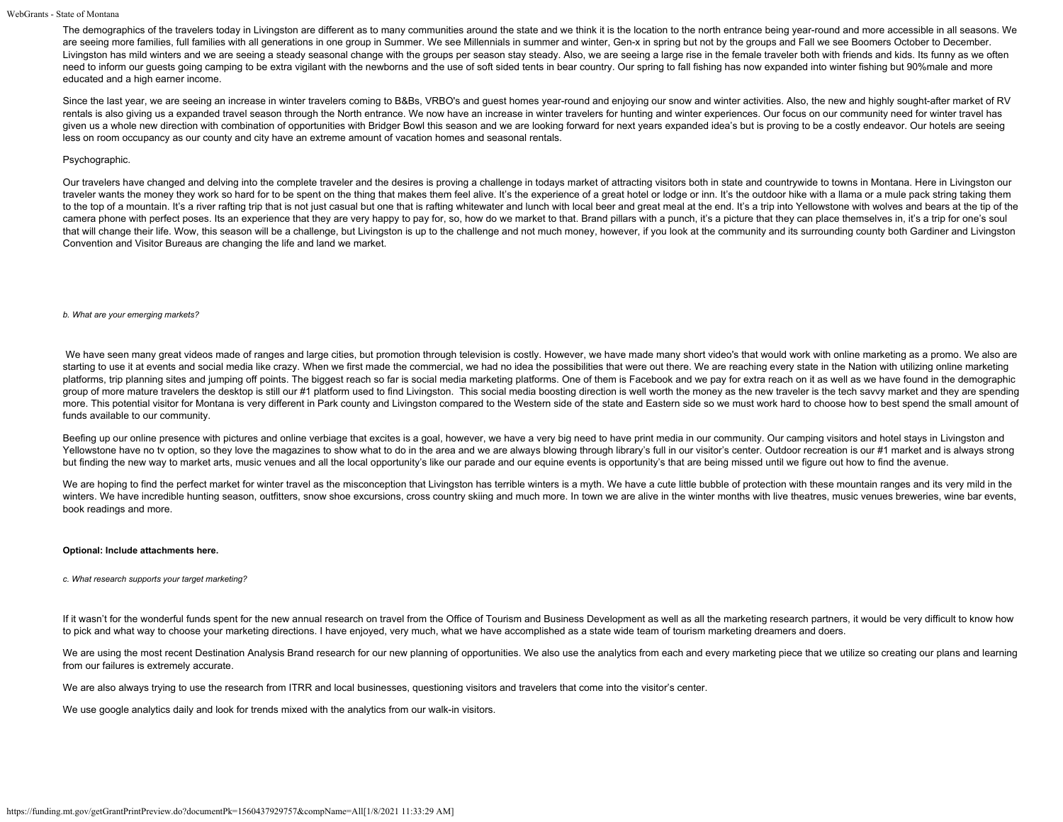The demographics of the travelers today in Livingston are different as to many communities around the state and we think it is the location to the north entrance being year-round and more accessible in all seasons. We are seeing more families, full families with all generations in one group in Summer. We see Millennials in summer and winter, Gen-x in spring but not by the groups and Fall we see Boomers October to December. Livingston has mild winters and we are seeing a steady seasonal change with the groups per season stay steady. Also, we are seeing a large rise in the female traveler both with friends and kids. Its funny as we often need to inform our guests going camping to be extra vigilant with the newborns and the use of soft sided tents in bear country. Our spring to fall fishing has now expanded into winter fishing but 90%male and more educated and a high earner income.

Since the last year, we are seeing an increase in winter travelers coming to B&Bs, VRBO's and quest homes year-round and enjoying our snow and winter activities. Also, the new and highly sought-after market of RV rentals is also giving us a expanded travel season through the North entrance. We now have an increase in winter travelers for hunting and winter experiences. Our focus on our community need for winter travel has given us a whole new direction with combination of opportunities with Bridger Bowl this season and we are looking forward for next years expanded idea's but is proving to be a costly endeavor. Our hotels are seeing less on room occupancy as our county and city have an extreme amount of vacation homes and seasonal rentals.

#### Psychographic.

Our travelers have changed and delving into the complete traveler and the desires is proving a challenge in todays market of attracting visitors both in state and countrywide to towns in Montana. Here in Livingston our traveler wants the money they work so hard for to be spent on the thing that makes them feel alive. It's the experience of a great hotel or lodge or inn. It's the outdoor hike with a llama or a mule pack string taking them to the top of a mountain. It's a river rafting trip that is not just casual but one that is rafting whitewater and lunch with local beer and great meal at the end. It's a trip into Yellowstone with wolves and bears at the camera phone with perfect poses. Its an experience that they are very happy to pay for, so, how do we market to that. Brand pillars with a punch, it's a picture that they can place themselves in, it's a trip for one's soul that will change their life. Wow, this season will be a challenge, but Livingston is up to the challenge and not much money, however, if you look at the community and its surrounding county both Gardiner and Livingston Convention and Visitor Bureaus are changing the life and land we market.

#### *b. What are your emerging markets?*

We have seen many great videos made of ranges and large cities, but promotion through television is costly. However, we have made many short video's that would work with online marketing as a promo. We also are starting to use it at events and social media like crazy. When we first made the commercial, we had no idea the possibilities that were out there. We are reaching every state in the Nation with utilizing online marketing platforms, trip planning sites and jumping off points. The biggest reach so far is social media marketing platforms. One of them is Facebook and we pay for extra reach on it as well as we have found in the demographic group of more mature travelers the desktop is still our #1 platform used to find Livingston. This social media boosting direction is well worth the money as the new traveler is the tech savvy market and they are spending more. This potential visitor for Montana is very different in Park county and Livingston compared to the Western side of the state and Eastern side so we must work hard to choose how to best spend the small amount of funds available to our community.

Beefing up our online presence with pictures and online verbiage that excites is a goal, however, we have a very big need to have print media in our community. Our camping visitors and hotel stays in Livingston and Yellowstone have no tv option, so they love the magazines to show what to do in the area and we are always blowing through library's full in our visitor's center. Outdoor recreation is our #1 market and is always strong but finding the new way to market arts, music venues and all the local opportunity's like our parade and our equine events is opportunity's that are being missed until we figure out how to find the avenue.

We are hoping to find the perfect market for winter travel as the misconception that Livingston has terrible winters is a myth. We have a cute little bubble of protection with these mountain ranges and its very mild in the winters. We have incredible hunting season, outfitters, snow shoe excursions, cross country skiing and much more. In town we are alive in the winter months with live theatres, music venues breweries, wine bar events, book readings and more.

#### **Optional: Include attachments here.**

#### *c. What research supports your target marketing?*

If it wasn't for the wonderful funds spent for the new annual research on travel from the Office of Tourism and Business Development as well as all the marketing research partners, it would be very difficult to know how to pick and what way to choose your marketing directions. I have enjoyed, very much, what we have accomplished as a state wide team of tourism marketing dreamers and doers.

We are using the most recent Destination Analysis Brand research for our new planning of opportunities. We also use the analytics from each and every marketing piece that we utilize so creating our plans and learning from our failures is extremely accurate.

We are also always trying to use the research from ITRR and local businesses, questioning visitors and travelers that come into the visitor's center.

We use google analytics daily and look for trends mixed with the analytics from our walk-in visitors.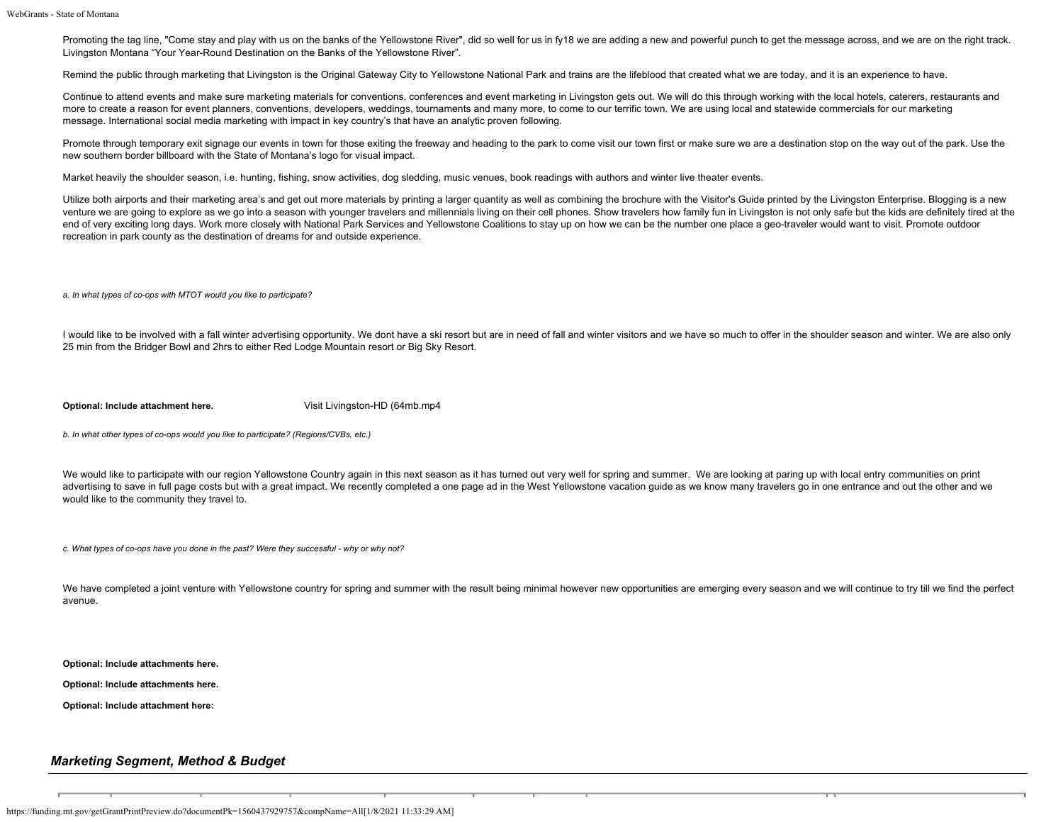Promoting the tag line, "Come stay and play with us on the banks of the Yellowstone River", did so well for us in fy18 we are adding a new and powerful punch to get the message across, and we are on the right track. Livingston Montana "Your Year-Round Destination on the Banks of the Yellowstone River".

Remind the public through marketing that Livingston is the Original Gateway City to Yellowstone National Park and trains are the lifeblood that created what we are today, and it is an experience to have.

Continue to attend events and make sure marketing materials for conventions, conferences and event marketing in Livingston gets out. We will do this through working with the local hotels, caterers, restaurants and more to create a reason for event planners, conventions, developers, weddings, tournaments and many more, to come to our terrific town. We are using local and statewide commercials for our marketing message. International social media marketing with impact in key country's that have an analytic proven following.

Promote through temporary exit signage our events in town for those exiting the freeway and heading to the park to come visit our town first or make sure we are a destination stop on the way out of the park. Use the new southern border billboard with the State of Montana's logo for visual impact.

Market heavily the shoulder season, i.e. hunting, fishing, snow activities, dog sledding, music venues, book readings with authors and winter live theater events.

Utilize both airports and their marketing area's and get out more materials by printing a larger quantity as well as combining the brochure with the Visitor's Guide printed by the Livingston Enterprise. Blogging is a new venture we are going to explore as we go into a season with younger travelers and millennials living on their cell phones. Show travelers how family fun in Livingston is not only safe but the kids are definitely tired at t end of very exciting long days. Work more closely with National Park Services and Yellowstone Coalitions to stay up on how we can be the number one place a geo-traveler would want to visit. Promote outdoor recreation in park county as the destination of dreams for and outside experience.

*a. In what types of co-ops with MTOT would you like to participate?*

I would like to be involved with a fall winter advertising opportunity. We dont have a ski resort but are in need of fall and winter visitors and we have so much to offer in the shoulder season and winter. We are also only 25 min from the Bridger Bowl and 2hrs to either Red Lodge Mountain resort or Big Sky Resort.

**Optional: Include attachment here.** [Visit Livingston-HD \(64mb.mp4](https://funding.mt.gov/fileDownload.jsp?filename=1493761233725_Visit+Livingston-HD+%2864mb.mp4)

*b. In what other types of co-ops would you like to participate? (Regions/CVBs, etc.)*

We would like to participate with our region Yellowstone Country again in this next season as it has turned out very well for spring and summer. We are looking at paring up with local entry communities on print advertising to save in full page costs but with a great impact. We recently completed a one page ad in the West Yellowstone vacation guide as we know many travelers go in one entrance and out the other and we would like to the community they travel to.

*c. What types of co-ops have you done in the past? Were they successful - why or why not?*

We have completed a joint venture with Yellowstone country for spring and summer with the result being minimal however new opportunities are emerging every season and we will continue to try till we find the perfect avenue.

**Optional: Include attachments here.**

**Optional: Include attachments here.**

**Optional: Include attachment here:**

### *Marketing Segment, Method & Budget*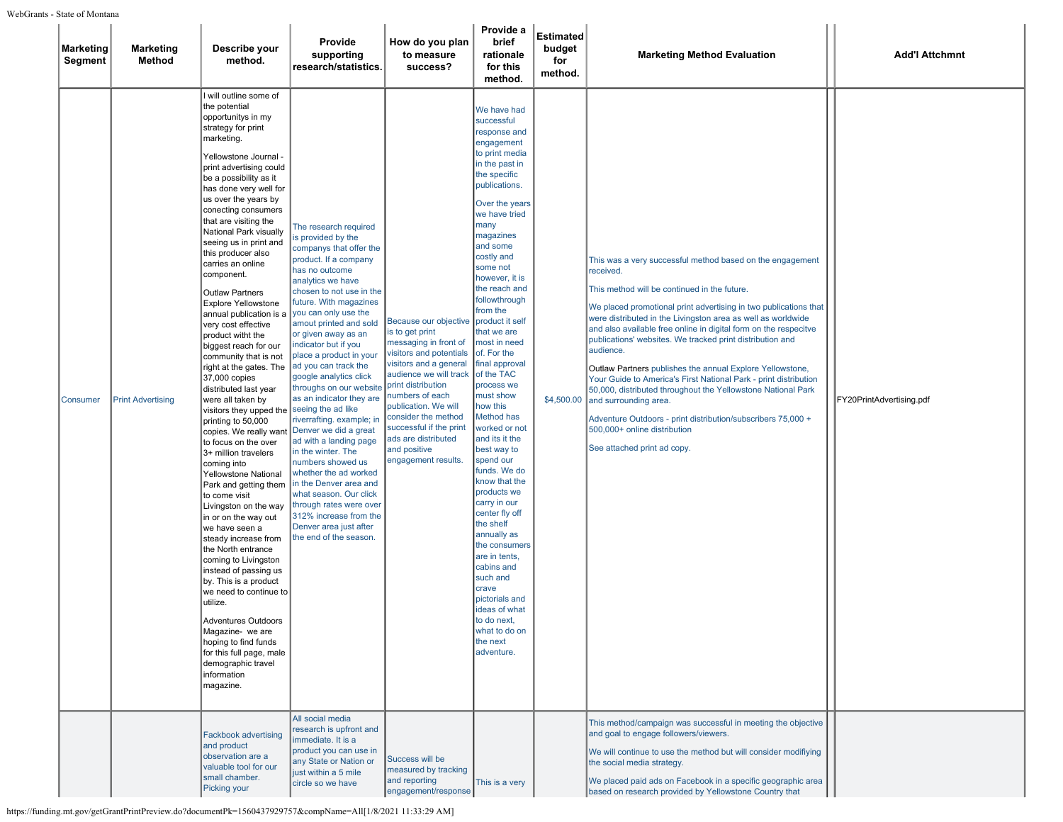| <b>Marketing</b><br>Segment | <b>Marketing</b><br>Method | Describe your<br>method.                                                                                                                                                                                                                                                                                                                                                                                                                                                                                                                                                                                                                                                                                                                                                                                                                                                                                                                                                                                                                                                                                                                                                                                                                                                | Provide<br>supporting<br>research/statistics.                                                                                                                                                                                                                                                                                                                                                                                                                                                                                                                                                                                                                                                                                                                            | How do you plan<br>to measure<br>success?                                                                                                                                                                                                                                                                                         | Provide a<br>brief<br>rationale<br>for this<br>method.                                                                                                                                                                                                                                                                                                                                                                                                                                                                                                                                                                                                                                                                                                                                          | Estimated<br>budget<br>for<br>method. | <b>Marketing Method Evaluation</b>                                                                                                                                                                                                                                                                                                                                                                                                                                                                                                                                                                                                                                                                                                                                | <b>Add'l Attchmnt</b>    |
|-----------------------------|----------------------------|-------------------------------------------------------------------------------------------------------------------------------------------------------------------------------------------------------------------------------------------------------------------------------------------------------------------------------------------------------------------------------------------------------------------------------------------------------------------------------------------------------------------------------------------------------------------------------------------------------------------------------------------------------------------------------------------------------------------------------------------------------------------------------------------------------------------------------------------------------------------------------------------------------------------------------------------------------------------------------------------------------------------------------------------------------------------------------------------------------------------------------------------------------------------------------------------------------------------------------------------------------------------------|--------------------------------------------------------------------------------------------------------------------------------------------------------------------------------------------------------------------------------------------------------------------------------------------------------------------------------------------------------------------------------------------------------------------------------------------------------------------------------------------------------------------------------------------------------------------------------------------------------------------------------------------------------------------------------------------------------------------------------------------------------------------------|-----------------------------------------------------------------------------------------------------------------------------------------------------------------------------------------------------------------------------------------------------------------------------------------------------------------------------------|-------------------------------------------------------------------------------------------------------------------------------------------------------------------------------------------------------------------------------------------------------------------------------------------------------------------------------------------------------------------------------------------------------------------------------------------------------------------------------------------------------------------------------------------------------------------------------------------------------------------------------------------------------------------------------------------------------------------------------------------------------------------------------------------------|---------------------------------------|-------------------------------------------------------------------------------------------------------------------------------------------------------------------------------------------------------------------------------------------------------------------------------------------------------------------------------------------------------------------------------------------------------------------------------------------------------------------------------------------------------------------------------------------------------------------------------------------------------------------------------------------------------------------------------------------------------------------------------------------------------------------|--------------------------|
| Consumer                    | <b>Print Advertising</b>   | I will outline some of<br>the potential<br>opportunitys in my<br>strategy for print<br>marketing.<br>Yellowstone Journal -<br>print advertising could<br>be a possibility as it<br>has done very well for<br>us over the years by<br>conecting consumers<br>that are visiting the<br>National Park visually<br>seeing us in print and<br>this producer also<br>carries an online<br>component.<br><b>Outlaw Partners</b><br>Explore Yellowstone<br>annual publication is a<br>very cost effective<br>product witht the<br>biggest reach for our<br>community that is not<br>right at the gates. The<br>37,000 copies<br>distributed last year<br>were all taken by<br>visitors they upped the<br>printing to 50,000<br>copies. We really want<br>to focus on the over<br>3+ million travelers<br>coming into<br>Yellowstone National<br>Park and getting them<br>to come visit<br>Livingston on the way<br>in or on the way out<br>we have seen a<br>steady increase from<br>the North entrance<br>coming to Livingston<br>instead of passing us<br>by. This is a product<br>we need to continue to<br>utilize.<br><b>Adventures Outdoors</b><br>Magazine- we are<br>hoping to find funds<br>for this full page, male<br>demographic travel<br>information<br>magazine. | The research required<br>is provided by the<br>companys that offer the<br>product. If a company<br>has no outcome<br>analytics we have<br>chosen to not use in the<br>future. With magazines<br>you can only use the<br>amout printed and sold<br>or given away as an<br>indicator but if you<br>place a product in your<br>ad you can track the<br>google analytics click<br>throughs on our website<br>as an indicator they are<br>seeing the ad like<br>riverrafting. example; in<br>Denver we did a great<br>ad with a landing page<br>in the winter. The<br>numbers showed us<br>whether the ad worked<br>in the Denver area and<br>what season. Our click<br>through rates were over<br>312% increase from the<br>Denver area just after<br>the end of the season. | Because our objective<br>is to get print<br>messaging in front of<br>visitors and potentials<br>visitors and a general<br>audience we will track<br>print distribution<br>numbers of each<br>publication. We will<br>consider the method<br>successful if the print<br>ads are distributed<br>and positive<br>engagement results. | We have had<br>successful<br>response and<br>engagement<br>to print media<br>in the past in<br>the specific<br>publications.<br>Over the years<br>we have tried<br>many<br>magazines<br>and some<br>costly and<br>some not<br>however, it is<br>the reach and<br>followthrough<br>from the<br>product it self<br>that we are<br>most in need<br>of. For the<br>final approval<br>of the TAC<br>process we<br>must show<br>how this<br>Method has<br>worked or not<br>and its it the<br>best way to<br>spend our<br>funds. We do<br>know that the<br>products we<br>carry in our<br>center fly off<br>the shelf<br>annually as<br>the consumers<br>are in tents,<br>cabins and<br>such and<br>crave<br>pictorials and<br>ideas of what<br>io do next,<br>what to do on<br>the next<br>adventure. | \$4,500.00                            | This was a very successful method based on the engagement<br>received.<br>This method will be continued in the future.<br>We placed promotional print advertising in two publications that<br>were distributed in the Livingston area as well as worldwide<br>and also available free online in digital form on the respecitve<br>publications' websites. We tracked print distribution and<br>audience.<br>Outlaw Partners publishes the annual Explore Yellowstone,<br>Your Guide to America's First National Park - print distribution<br>50,000, distributed throughout the Yellowstone National Park<br>and surrounding area.<br>Adventure Outdoors - print distribution/subscribers 75,000 +<br>500,000+ online distribution<br>See attached print ad copy. | FY20PrintAdvertising.pdf |
|                             |                            | <b>Fackbook advertising</b><br>and product<br>observation are a<br>valuable tool for our<br>small chamber.<br>Picking your                                                                                                                                                                                                                                                                                                                                                                                                                                                                                                                                                                                                                                                                                                                                                                                                                                                                                                                                                                                                                                                                                                                                              | All social media<br>research is upfront and<br>mmediate. It is a<br>product you can use in<br>any State or Nation or<br>just within a 5 mile<br>circle so we have                                                                                                                                                                                                                                                                                                                                                                                                                                                                                                                                                                                                        | Success will be<br>measured by tracking<br>and reporting<br>engagement/response                                                                                                                                                                                                                                                   | This is a very                                                                                                                                                                                                                                                                                                                                                                                                                                                                                                                                                                                                                                                                                                                                                                                  |                                       | This method/campaign was successful in meeting the objective<br>and goal to engage followers/viewers.<br>We will continue to use the method but will consider modifiying<br>the social media strategy.<br>We placed paid ads on Facebook in a specific geographic area<br>based on research provided by Yellowstone Country that                                                                                                                                                                                                                                                                                                                                                                                                                                  |                          |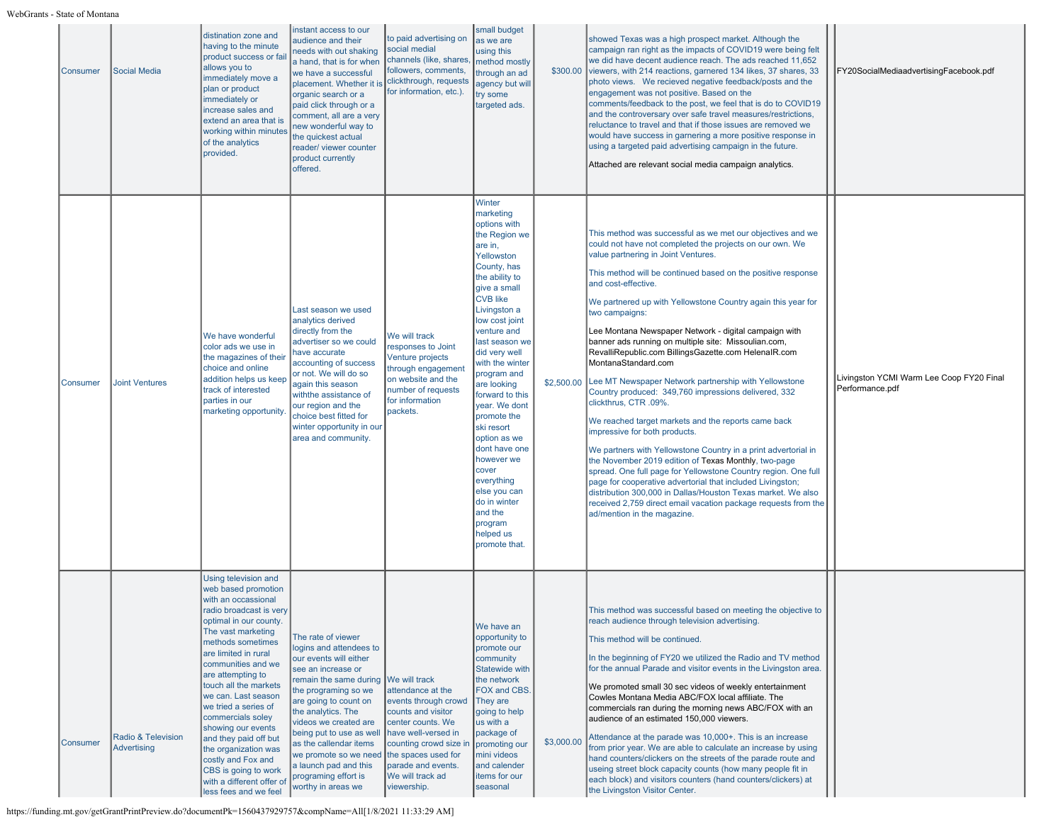| <b>Consumer</b> | <b>Social Media</b>                      | distination zone and<br>having to the minute<br>product success or fai<br>allows you to<br>immediately move a<br>plan or product<br>immediately or<br>increase sales and<br>extend an area that is<br>working within minutes<br>of the analytics<br>provided.                                                                                                                                                                                                                                                 | instant access to our<br>audience and their<br>needs with out shaking<br>a hand, that is for when<br>we have a successful<br>placement. Whether it is<br>organic search or a<br>paid click through or a<br>comment, all are a very<br>new wonderful way to<br>the quickest actual<br>reader/ viewer counter<br>product currently<br>offered.                                  | to paid advertising on<br>social medial<br>channels (like, shares<br>followers, comments,<br>clickthrough, requests<br>for information, etc.).                                                                                                | small budget<br>as we are<br>using this<br>method mostly<br>through an ad<br>agency but will<br>try some<br>targeted ads.                                                                                                                                                                                                                                                                                                                                                                                         | \$300.00   | showed Texas was a high prospect market. Although the<br>campaign ran right as the impacts of COVID19 were being felt<br>we did have decent audience reach. The ads reached 11,652<br>viewers, with 214 reactions, garnered 134 likes, 37 shares, 33<br>photo views. We recieved negative feedback/posts and the<br>engagement was not positive. Based on the<br>comments/feedback to the post, we feel that is do to COVID19<br>and the controversary over safe travel measures/restrictions,<br>reluctance to travel and that if those issues are removed we<br>would have success in garnering a more positive response in<br>using a targeted paid advertising campaign in the future.<br>Attached are relevant social media campaign analytics.                                                                                                                                                                                                                                                                                                                                                                                                                                                | FY20SocialMediaadvertisingFacebook.pdf                      |
|-----------------|------------------------------------------|---------------------------------------------------------------------------------------------------------------------------------------------------------------------------------------------------------------------------------------------------------------------------------------------------------------------------------------------------------------------------------------------------------------------------------------------------------------------------------------------------------------|-------------------------------------------------------------------------------------------------------------------------------------------------------------------------------------------------------------------------------------------------------------------------------------------------------------------------------------------------------------------------------|-----------------------------------------------------------------------------------------------------------------------------------------------------------------------------------------------------------------------------------------------|-------------------------------------------------------------------------------------------------------------------------------------------------------------------------------------------------------------------------------------------------------------------------------------------------------------------------------------------------------------------------------------------------------------------------------------------------------------------------------------------------------------------|------------|-----------------------------------------------------------------------------------------------------------------------------------------------------------------------------------------------------------------------------------------------------------------------------------------------------------------------------------------------------------------------------------------------------------------------------------------------------------------------------------------------------------------------------------------------------------------------------------------------------------------------------------------------------------------------------------------------------------------------------------------------------------------------------------------------------------------------------------------------------------------------------------------------------------------------------------------------------------------------------------------------------------------------------------------------------------------------------------------------------------------------------------------------------------------------------------------------------|-------------------------------------------------------------|
| Consumer        | <b>Joint Ventures</b>                    | We have wonderful<br>color ads we use in<br>the magazines of their<br>choice and online<br>addition helps us keep<br>track of interested<br>parties in our<br>marketing opportunity.                                                                                                                                                                                                                                                                                                                          | Last season we used<br>analytics derived<br>directly from the<br>advertiser so we could<br>have accurate<br>accounting of success<br>or not. We will do so<br>again this season<br>withthe assistance of<br>our region and the<br>choice best fitted for<br>winter opportunity in our<br>area and community.                                                                  | We will track<br>responses to Joint<br>Venture projects<br>through engagement<br>on website and the<br>number of requests<br>for information<br>packets.                                                                                      | Winter<br>marketing<br>options with<br>the Region we<br>are in,<br>Yellowston<br>County, has<br>the ability to<br>give a small<br><b>CVB</b> like<br>Livingston a<br>low cost joint<br>venture and<br>last season we<br>did very well<br>with the winter<br>program and<br>are looking<br>forward to this<br>year. We dont<br>promote the<br>ski resort<br>option as we<br>dont have one<br>however we<br>cover<br>everything<br>else you can<br>do in winter<br>and the<br>program<br>helped us<br>promote that. | \$2,500.00 | This method was successful as we met our objectives and we<br>could not have not completed the projects on our own. We<br>value partnering in Joint Ventures.<br>This method will be continued based on the positive response<br>and cost-effective.<br>We partnered up with Yellowstone Country again this year for<br>two campaigns:<br>Lee Montana Newspaper Network - digital campaign with<br>banner ads running on multiple site: Missoulian.com,<br>RevalliRepublic.com BillingsGazette.com HelenalR.com<br>MontanaStandard.com<br>Lee MT Newspaper Network partnership with Yellowstone<br>Country produced: 349,760 impressions delivered, 332<br>clickthrus, CTR .09%.<br>We reached target markets and the reports came back<br>impressive for both products.<br>We partners with Yellowstone Country in a print advertorial in<br>the November 2019 edition of Texas Monthly, two-page<br>spread. One full page for Yellowstone Country region. One full<br>page for cooperative advertorial that included Livingston;<br>distribution 300,000 in Dallas/Houston Texas market. We also<br>received 2,759 direct email vacation package requests from the<br>ad/mention in the magazine. | Livingston YCMI Warm Lee Coop FY20 Final<br>Performance.pdf |
| Consumer        | Radio & Television<br><b>Advertising</b> | Using television and<br>web based promotion<br>with an occassional<br>radio broadcast is very<br>optimal in our county.<br>The vast marketing<br>methods sometimes<br>are limited in rural<br>communities and we<br>are attempting to<br>touch all the markets<br>we can. Last season<br>we tried a series of<br>commercials soley<br>showing our events<br>and they paid off but<br>the organization was<br>costly and Fox and<br>CBS is going to work<br>with a different offer of<br>less fees and we feel | The rate of viewer<br>logins and attendees to<br>our events will either<br>see an increase or<br>remain the same during<br>the programing so we<br>are going to count on<br>the analytics. The<br>videos we created are<br>being put to use as well<br>as the callendar items<br>we promote so we need<br>a launch pad and this<br>programing effort is<br>worthy in areas we | <b>We will track</b><br>attendance at the<br>events through crowd<br>counts and visitor<br>center counts. We<br>have well-versed in<br>counting crowd size in<br>the spaces used for<br>parade and events.<br>We will track ad<br>viewership. | We have an<br>opportunity to<br>promote our<br>community<br>Statewide with<br>the network<br><b>FOX and CBS.</b><br>They are<br>going to help<br>us with a<br>package of<br>promoting our<br>mini videos<br>and calender<br>items for our<br>seasonal                                                                                                                                                                                                                                                             | \$3,000.00 | This method was successful based on meeting the objective to<br>reach audience through television advertising.<br>This method will be continued.<br>In the beginning of FY20 we utilized the Radio and TV method<br>for the annual Parade and visitor events in the Livingston area.<br>We promoted small 30 sec videos of weekly entertainment<br>Cowles Montana Media ABC/FOX local affiliate. The<br>commercials ran during the morning news ABC/FOX with an<br>audience of an estimated 150,000 viewers.<br>Attendance at the parade was 10,000+. This is an increase<br>from prior year. We are able to calculate an increase by using<br>hand counters/clickers on the streets of the parade route and<br>useing street block capacity counts (how many people fit in<br>each block) and visitors counters (hand counters/clickers) at<br>the Livingston Visitor Center.                                                                                                                                                                                                                                                                                                                      |                                                             |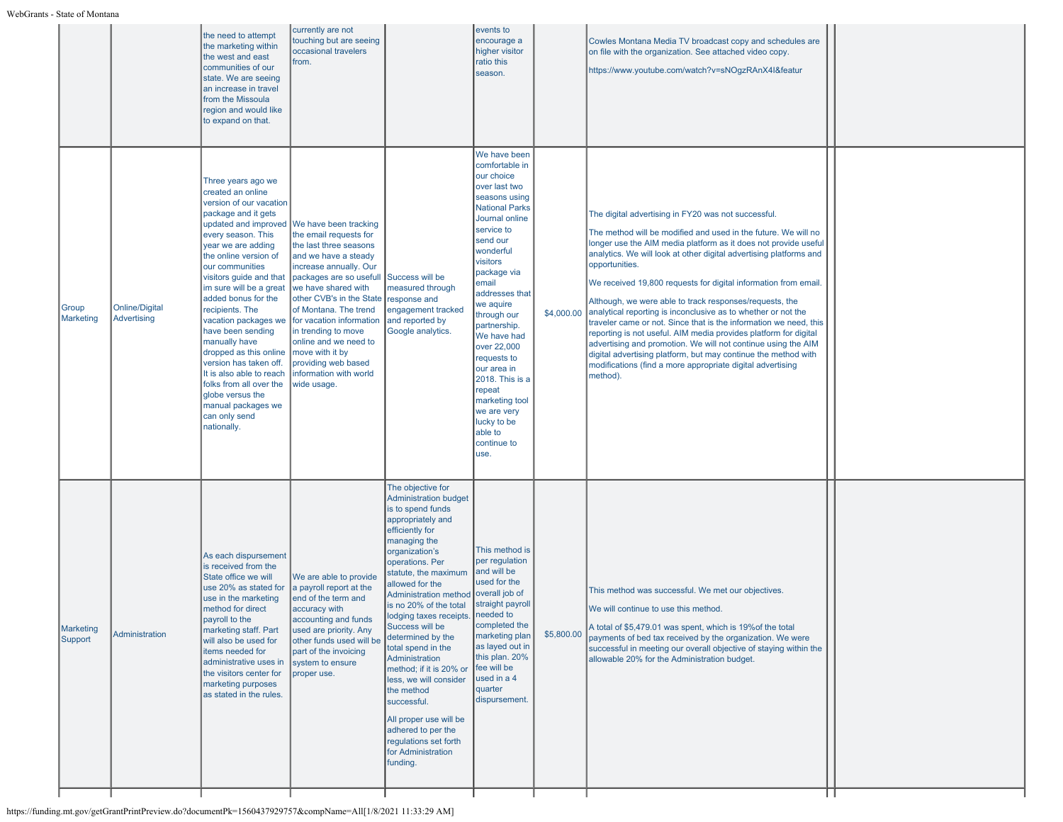|                      |                                      | the need to attempt<br>the marketing within<br>the west and east<br>communities of our<br>state. We are seeing<br>an increase in travel<br>from the Missoula<br>region and would like<br>to expand on that.                                                                                                                                                                                                                                                                                                                                                  | currently are not<br>touching but are seeing<br>occasional travelers<br>from.                                                                                                                                                                                                                                                                                                                     |                                                                                                                                                                                                                                                                                                                                                                                                                                                                                                                                                                                  | events to<br>encourage a<br>higher visitor<br>ratio this<br>season.                                                                                                                                                                                                                                                                                                                                                                           |            | Cowles Montana Media TV broadcast copy and schedules are<br>on file with the organization. See attached video copy.<br>https://www.youtube.com/watch?v=sNOgzRAnX4I&featur                                                                                                                                                                                                                                                                                                                                                                                                                                                                                                                                                                                                                                                                       |  |
|----------------------|--------------------------------------|--------------------------------------------------------------------------------------------------------------------------------------------------------------------------------------------------------------------------------------------------------------------------------------------------------------------------------------------------------------------------------------------------------------------------------------------------------------------------------------------------------------------------------------------------------------|---------------------------------------------------------------------------------------------------------------------------------------------------------------------------------------------------------------------------------------------------------------------------------------------------------------------------------------------------------------------------------------------------|----------------------------------------------------------------------------------------------------------------------------------------------------------------------------------------------------------------------------------------------------------------------------------------------------------------------------------------------------------------------------------------------------------------------------------------------------------------------------------------------------------------------------------------------------------------------------------|-----------------------------------------------------------------------------------------------------------------------------------------------------------------------------------------------------------------------------------------------------------------------------------------------------------------------------------------------------------------------------------------------------------------------------------------------|------------|-------------------------------------------------------------------------------------------------------------------------------------------------------------------------------------------------------------------------------------------------------------------------------------------------------------------------------------------------------------------------------------------------------------------------------------------------------------------------------------------------------------------------------------------------------------------------------------------------------------------------------------------------------------------------------------------------------------------------------------------------------------------------------------------------------------------------------------------------|--|
| Group<br>Marketing   | <b>Online/Digital</b><br>Advertising | Three years ago we<br>created an online<br>version of our vacation<br>package and it gets<br>updated and improved<br>every season. This<br>year we are adding<br>the online version of<br>our communities<br>visitors guide and that<br>im sure will be a great<br>added bonus for the<br>recipients. The<br>vacation packages we<br>have been sending<br>manually have<br>dropped as this online<br>version has taken off.<br>It is also able to reach<br>folks from all over the<br>globe versus the<br>manual packages we<br>can only send<br>nationally. | We have been tracking<br>the email requests for<br>the last three seasons<br>and we have a steady<br>increase annually. Our<br>packages are so usefull<br>we have shared with<br>other CVB's in the State<br>of Montana. The trend<br>for vacation information<br>in trending to move<br>online and we need to<br>move with it by<br>providing web based<br>information with world<br>wide usage. | Success will be<br>measured through<br>response and<br>engagement tracked<br>and reported by<br>Google analytics.                                                                                                                                                                                                                                                                                                                                                                                                                                                                | We have been<br>comfortable in<br>our choice<br>over last two<br>seasons using<br><b>National Parks</b><br>Journal online<br>service to<br>send our<br>wonderful<br>visitors<br>package via<br>email<br>addresses that<br>we aquire<br>through our<br>partnership.<br>We have had<br>over 22,000<br>requests to<br>our area in<br>2018. This is a<br>repeat<br>marketing tool<br>we are very<br>lucky to be<br>able to<br>continue to<br>use. |            | The digital advertising in FY20 was not successful.<br>The method will be modified and used in the future. We will no<br>longer use the AIM media platform as it does not provide useful<br>analytics. We will look at other digital advertising platforms and<br>opportunities.<br>We received 19,800 requests for digital information from email<br>Although, we were able to track responses/requests, the<br>\$4,000.00 analytical reporting is inconclusive as to whether or not the<br>traveler came or not. Since that is the information we need, this<br>reporting is not useful. AIM media provides platform for digital<br>advertising and promotion. We will not continue using the AIM<br>digital advertising platform, but may continue the method with<br>modifications (find a more appropriate digital advertising<br>method). |  |
| Marketing<br>Support | Administration                       | As each dispursement<br>is received from the<br>State office we will<br>use 20% as stated for<br>use in the marketing<br>method for direct<br>payroll to the<br>marketing staff. Part<br>will also be used for<br>litems needed for<br>administrative uses in<br>the visitors center for<br>marketing purposes<br>as stated in the rules.                                                                                                                                                                                                                    | We are able to provide<br>a payroll report at the<br>end of the term and<br>accuracy with<br>accounting and funds<br>used are priority. Any<br>other funds used will be<br>part of the invoicing<br>system to ensure<br>proper use.                                                                                                                                                               | The objective for<br><b>Administration budget</b><br>is to spend funds<br>appropriately and<br>efficiently for<br>managing the<br>organization's<br>operations. Per<br>statute, the maximum<br>allowed for the<br><b>Administration method</b><br>is no 20% of the total<br>lodging taxes receipts.<br>Success will be<br>determined by the<br>total spend in the<br>Administration<br>method; if it is 20% or<br>less, we will consider<br>the method<br>successful.<br>All proper use will be<br>adhered to per the<br>regulations set forth<br>for Administration<br>funding. | This method is<br>per regulation<br>and will be<br>used for the<br>overall job of<br>straight payroll<br>needed to<br>completed the<br>marketing plan<br>as layed out in<br>this plan. 20%<br>fee will be<br>used in a 4<br>quarter<br>dispursement.                                                                                                                                                                                          | \$5,800.00 | This method was successful. We met our objectives.<br>We will continue to use this method.<br>A total of \$5,479.01 was spent, which is 19% of the total<br>payments of bed tax received by the organization. We were<br>successful in meeting our overall objective of staying within the<br>allowable 20% for the Administration budget.                                                                                                                                                                                                                                                                                                                                                                                                                                                                                                      |  |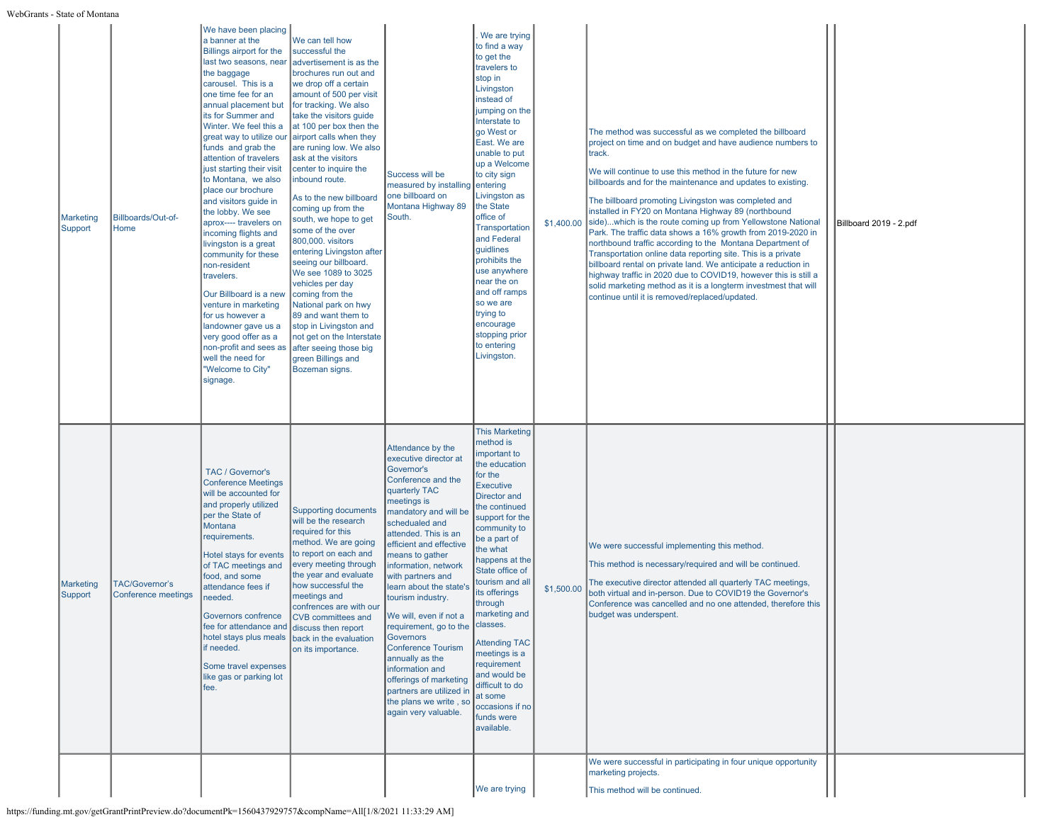| <b>Marketing</b><br>Support | Billboards/Out-of-<br>Home            | We have been placing<br>a banner at the<br>Billings airport for the<br>last two seasons, near<br>the baggage<br>carousel. This is a<br>one time fee for an<br>annual placement but<br>its for Summer and<br>Winter. We feel this a<br>great way to utilize our<br>funds and grab the<br>attention of travelers<br>just starting their visit<br>to Montana, we also<br>place our brochure<br>and visitors guide in<br>the lobby. We see<br>aprox---- travelers on<br>incoming flights and<br>livingston is a great<br>community for these<br>non-resident<br>travelers.<br>Our Billboard is a new<br>venture in marketing<br>for us however a<br>landowner gave us a<br>very good offer as a<br>non-profit and sees as<br>well the need for<br>"Welcome to City"<br>signage. | We can tell how<br>successful the<br>advertisement is as the<br>brochures run out and<br>we drop off a certain<br>amount of 500 per visit<br>for tracking. We also<br>take the visitors guide<br>at 100 per box then the<br>airport calls when they<br>are runing low. We also<br>ask at the visitors<br>center to inquire the<br>inbound route.<br>As to the new billboard<br>coming up from the<br>south, we hope to get<br>some of the over<br>800,000. visitors<br>entering Livingston after<br>seeing our billboard.<br>We see 1089 to 3025<br>vehicles per day<br>coming from the<br>National park on hwy<br>89 and want them to<br>stop in Livingston and<br>not get on the Interstate<br>after seeing those big<br>green Billings and<br>Bozeman signs. | Success will be<br>measured by installing<br>one billboard on<br>Montana Highway 89<br>South.                                                                                                                                                                                                                                                                                                                                                                                                                                                                           | We are trying<br>to find a way<br>to get the<br>travelers to<br>stop in<br>Livingston<br>instead of<br>jumping on the<br>Interstate to<br>go West or<br>East. We are<br>unable to put<br>up a Welcome<br>to city sign<br>entering<br>Livingston as<br>the State<br>office of<br>Transportation<br>and Federal<br>quidlines<br>prohibits the<br>use anywhere<br>near the on<br>and off ramps<br>so we are<br>trying to<br>encourage<br>stopping prior<br>to entering<br>Livingston. | \$1,400.00 | The method was successful as we completed the billboard<br>project on time and on budget and have audience numbers to<br>track.<br>We will continue to use this method in the future for new<br>billboards and for the maintenance and updates to existing.<br>The billboard promoting Livingston was completed and<br>installed in FY20 on Montana Highway 89 (northbound<br>side)which is the route coming up from Yellowstone National<br>Park. The traffic data shows a 16% growth from 2019-2020 in<br>northbound traffic according to the Montana Department of<br>Transportation online data reporting site. This is a private<br>billboard rental on private land. We anticipate a reduction in<br>highway traffic in 2020 due to COVID19, however this is still a<br>solid marketing method as it is a longterm investmest that will<br>continue until it is removed/replaced/updated. | Billboard 2019 - 2.pdf |
|-----------------------------|---------------------------------------|-----------------------------------------------------------------------------------------------------------------------------------------------------------------------------------------------------------------------------------------------------------------------------------------------------------------------------------------------------------------------------------------------------------------------------------------------------------------------------------------------------------------------------------------------------------------------------------------------------------------------------------------------------------------------------------------------------------------------------------------------------------------------------|-----------------------------------------------------------------------------------------------------------------------------------------------------------------------------------------------------------------------------------------------------------------------------------------------------------------------------------------------------------------------------------------------------------------------------------------------------------------------------------------------------------------------------------------------------------------------------------------------------------------------------------------------------------------------------------------------------------------------------------------------------------------|-------------------------------------------------------------------------------------------------------------------------------------------------------------------------------------------------------------------------------------------------------------------------------------------------------------------------------------------------------------------------------------------------------------------------------------------------------------------------------------------------------------------------------------------------------------------------|------------------------------------------------------------------------------------------------------------------------------------------------------------------------------------------------------------------------------------------------------------------------------------------------------------------------------------------------------------------------------------------------------------------------------------------------------------------------------------|------------|-------------------------------------------------------------------------------------------------------------------------------------------------------------------------------------------------------------------------------------------------------------------------------------------------------------------------------------------------------------------------------------------------------------------------------------------------------------------------------------------------------------------------------------------------------------------------------------------------------------------------------------------------------------------------------------------------------------------------------------------------------------------------------------------------------------------------------------------------------------------------------------------------|------------------------|
| <b>Marketing</b><br>Support | TAC/Governor's<br>Conference meetings | TAC / Governor's<br><b>Conference Meetings</b><br>will be accounted for<br>and properly utilized<br>per the State of<br>Montana<br>requirements.<br>Hotel stays for events<br>of TAC meetings and<br>food, and some<br>attendance fees if<br>needed.<br>Governors confrence<br>fee for attendance and discuss then report<br>hotel stays plus meals back in the evaluation<br>if needed.<br>Some travel expenses<br>like gas or parking lot<br>fee.                                                                                                                                                                                                                                                                                                                         | <b>Supporting documents</b><br>will be the research<br>required for this<br>method. We are going<br>to report on each and<br>every meeting through<br>the year and evaluate<br>how successful the<br>meetings and<br>confrences are with our<br><b>CVB</b> committees and<br>on its importance.                                                                                                                                                                                                                                                                                                                                                                                                                                                                 | Attendance by the<br>executive director at<br>Governor's<br>Conference and the<br>quarterly TAC<br>meetings is<br>mandatory and will be<br>schedualed and<br>attended. This is an<br>efficient and effective<br>means to gather<br>nformation, network<br>with partners and<br>learn about the state's<br>tourism industry.<br>We will, even if not a<br>requirement, go to the<br>Governors<br><b>Conference Tourism</b><br>annually as the<br>information and<br>offerings of marketing<br>partners are utilized in<br>the plans we write, so<br>again very valuable. | <b>This Marketing</b><br>method is<br>important to<br>the education<br>for the<br>Executive<br>Director and<br>the continued<br>support for the<br>community to<br>be a part of<br>the what<br>happens at the<br>State office of<br>tourism and all<br>its offerings<br>through<br>marketing and<br><b>classes</b><br><b>Attending TAC</b><br>meetings is a<br>requirement<br>and would be<br>difficult to do<br>at some<br>occasions if no<br>funds were<br>available.            | \$1,500.00 | We were successful implementing this method.<br>This method is necessary/required and will be continued.<br>The executive director attended all quarterly TAC meetings,<br>both virtual and in-person. Due to COVID19 the Governor's<br>Conference was cancelled and no one attended, therefore this<br>budget was underspent.<br>We were successful in participating in four unique opportunity                                                                                                                                                                                                                                                                                                                                                                                                                                                                                                |                        |
|                             |                                       |                                                                                                                                                                                                                                                                                                                                                                                                                                                                                                                                                                                                                                                                                                                                                                             |                                                                                                                                                                                                                                                                                                                                                                                                                                                                                                                                                                                                                                                                                                                                                                 |                                                                                                                                                                                                                                                                                                                                                                                                                                                                                                                                                                         | We are trying                                                                                                                                                                                                                                                                                                                                                                                                                                                                      |            | marketing projects.<br>This method will be continued.                                                                                                                                                                                                                                                                                                                                                                                                                                                                                                                                                                                                                                                                                                                                                                                                                                           |                        |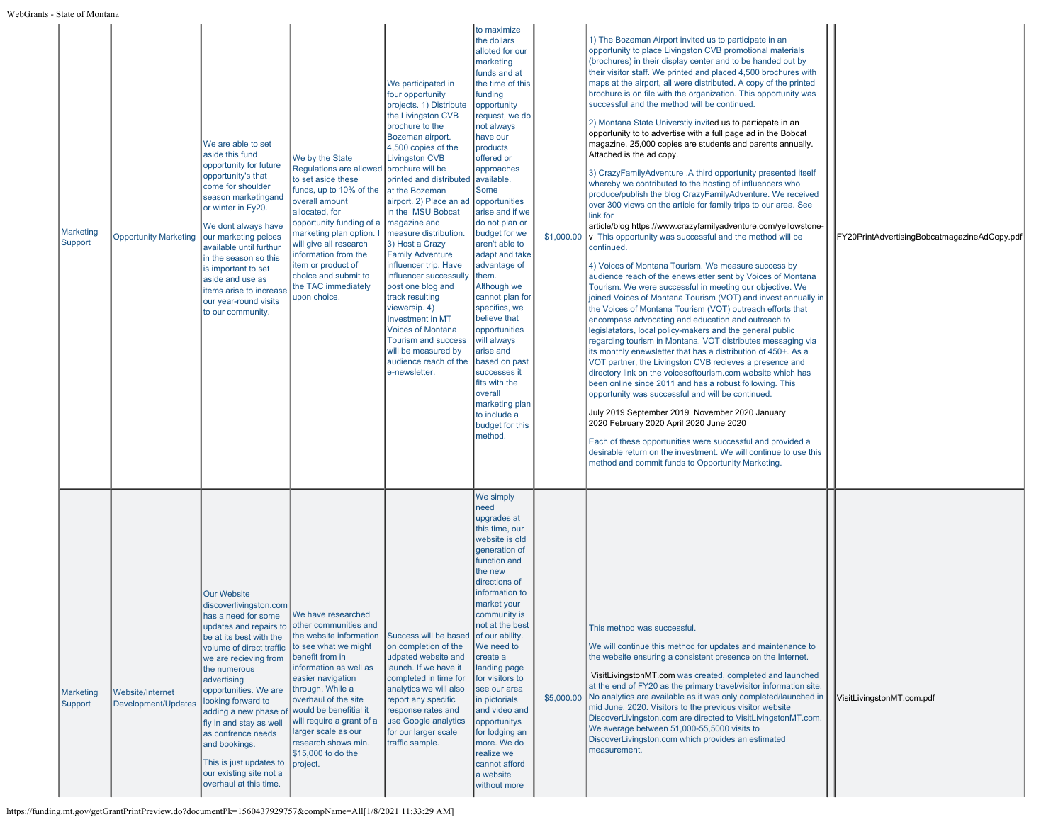| Marketing<br>Support        | <b>Opportunity Marketing</b>            | We are able to set<br>aside this fund<br>opportunity for future<br>opportunity's that<br>come for shoulder<br>season marketingand<br>or winter in Fy20.<br>We dont always have<br>our marketing peices<br>available until furthur<br>in the season so this<br>is important to set<br>aside and use as<br>items arise to increase<br>our year-round visits<br>to our community.                                                         | We by the State<br>Regulations are allowed<br>to set aside these<br>funds, up to 10% of the<br>overall amount<br>allocated, for<br>opportunity funding of a<br>marketing plan option. I<br>will give all research<br>nformation from the<br>tem or product of<br>choice and submit to<br>the TAC immediately<br>upon choice.                        | We participated in<br>four opportunity<br>projects. 1) Distribute<br>the Livingston CVB<br>brochure to the<br>Bozeman airport.<br>4,500 copies of the<br><b>Livingston CVB</b><br>brochure will be<br>printed and distributed<br>at the Bozeman<br>airport. 2) Place an ad<br>in the MSU Bobcat<br>magazine and<br>measure distribution.<br>3) Host a Crazy<br><b>Family Adventure</b><br>influencer trip. Have<br>influencer successully<br>post one blog and<br>track resulting<br>viewersip. 4)<br><b>Investment in MT</b><br><b>Voices of Montana</b><br><b>Tourism and success</b><br>will be measured by<br>audience reach of the<br>e-newsletter. | to maximize<br>the dollars<br>alloted for our<br>marketing<br>funds and at<br>the time of this<br>funding<br>opportunity<br>request, we do<br>not always<br>have our<br>products<br>offered or<br>approaches<br>available.<br>Some<br>opportunities<br>arise and if we<br>do not plan or<br>budget for we<br>aren't able to<br>adapt and take<br>advantage of<br>them.<br>Although we<br>cannot plan for<br>specifics, we<br>believe that<br>opportunities<br>will always<br>arise and<br>based on past<br>successes it<br>fits with the<br>overall<br>marketing plan<br>to include a<br>budget for this<br>method. | \$1,000.00 | 1) The Bozeman Airport invited us to participate in an<br>opportunity to place Livingston CVB promotional materials<br>(brochures) in their display center and to be handed out by<br>their visitor staff. We printed and placed 4,500 brochures with<br>maps at the airport, all were distributed. A copy of the printed<br>brochure is on file with the organization. This opportunity was<br>successful and the method will be continued.<br>2) Montana State Universtiy invited us to particpate in an<br>opportunity to to advertise with a full page ad in the Bobcat<br>magazine, 25,000 copies are students and parents annually.<br>Attached is the ad copy.<br>3) CrazyFamilyAdventure .A third opportunity presented itself<br>whereby we contributed to the hosting of influencers who<br>produce/publish the blog CrazyFamilyAdventure. We received<br>over 300 views on the article for family trips to our area. See<br>link for<br>article/blog https://www.crazyfamilyadventure.com/yellowstone-<br>v This opportunity was successful and the method will be<br>continued.<br>4) Voices of Montana Tourism. We measure success by<br>audience reach of the enewsletter sent by Voices of Montana<br>Tourism. We were successful in meeting our objective. We<br>joined Voices of Montana Tourism (VOT) and invest annually in<br>the Voices of Montana Tourism (VOT) outreach efforts that<br>encompass advocating and education and outreach to<br>legislatators, local policy-makers and the general public<br>regarding tourism in Montana. VOT distributes messaging via<br>its monthly enewsletter that has a distribution of 450+. As a<br>VOT partner, the Livingston CVB recieves a presence and<br>directory link on the voicesoftourism.com website which has<br>been online since 2011 and has a robust following. This<br>opportunity was successful and will be continued.<br>July 2019 September 2019 November 2020 January<br>2020 February 2020 April 2020 June 2020<br>Each of these opportunities were successful and provided a<br>desirable return on the investment. We will continue to use this<br>method and commit funds to Opportunity Marketing. | FY20PrintAdvertisingBobcatmagazineAdCopy.pdf |
|-----------------------------|-----------------------------------------|----------------------------------------------------------------------------------------------------------------------------------------------------------------------------------------------------------------------------------------------------------------------------------------------------------------------------------------------------------------------------------------------------------------------------------------|-----------------------------------------------------------------------------------------------------------------------------------------------------------------------------------------------------------------------------------------------------------------------------------------------------------------------------------------------------|----------------------------------------------------------------------------------------------------------------------------------------------------------------------------------------------------------------------------------------------------------------------------------------------------------------------------------------------------------------------------------------------------------------------------------------------------------------------------------------------------------------------------------------------------------------------------------------------------------------------------------------------------------|---------------------------------------------------------------------------------------------------------------------------------------------------------------------------------------------------------------------------------------------------------------------------------------------------------------------------------------------------------------------------------------------------------------------------------------------------------------------------------------------------------------------------------------------------------------------------------------------------------------------|------------|----------------------------------------------------------------------------------------------------------------------------------------------------------------------------------------------------------------------------------------------------------------------------------------------------------------------------------------------------------------------------------------------------------------------------------------------------------------------------------------------------------------------------------------------------------------------------------------------------------------------------------------------------------------------------------------------------------------------------------------------------------------------------------------------------------------------------------------------------------------------------------------------------------------------------------------------------------------------------------------------------------------------------------------------------------------------------------------------------------------------------------------------------------------------------------------------------------------------------------------------------------------------------------------------------------------------------------------------------------------------------------------------------------------------------------------------------------------------------------------------------------------------------------------------------------------------------------------------------------------------------------------------------------------------------------------------------------------------------------------------------------------------------------------------------------------------------------------------------------------------------------------------------------------------------------------------------------------------------------------------------------------------------------------------------------------------------------------------------------------------------------------------------------------------------------------------|----------------------------------------------|
| <b>Marketing</b><br>Support | Website/Internet<br>Development/Updates | <b>Our Website</b><br>discoverlivingston.com<br>has a need for some<br>updates and repairs to<br>be at its best with the<br>volume of direct traffic<br>we are recieving from<br>the numerous<br>advertising<br>opportunities. We are<br>looking forward to<br>adding a new phase of<br>fly in and stay as well<br>as confrence needs<br>and bookings.<br>This is just updates to<br>our existing site not a<br>overhaul at this time. | We have researched<br>other communities and<br>the website information<br>to see what we might<br>benefit from in<br>information as well as<br>easier navigation<br>through. While a<br>overhaul of the site<br>would be benefitial it<br>will require a grant of a<br>larger scale as our<br>research shows min.<br>\$15,000 to do the<br>project. | Success will be based<br>on completion of the<br>udpated website and<br>launch. If we have it<br>completed in time for<br>analytics we will also<br>report any specific<br>response rates and<br>use Google analytics<br>for our larger scale<br>traffic sample.                                                                                                                                                                                                                                                                                                                                                                                         | We simply<br>need<br>upgrades at<br>this time, our<br>website is old<br>generation of<br>function and<br>the new<br>directions of<br>information to<br>market your<br>community is<br>not at the best<br>of our ability.<br>We need to<br>create a<br>landing page<br>for visitors to<br>see our area<br>in pictorials<br>and video and<br>opportunitys<br>for lodging an<br>more. We do<br>realize we<br>cannot afford<br>a website<br>without more                                                                                                                                                                | \$5,000.00 | This method was successful.<br>We will continue this method for updates and maintenance to<br>the website ensuring a consistent presence on the Internet.<br>VisitLivingstonMT.com was created, completed and launched<br>at the end of FY20 as the primary travel/visitor information site.<br>No analytics are available as it was only completed/launched in<br>mid June, 2020. Visitors to the previous visitor website<br>DiscoverLivingston.com are directed to VisitLivingstonMT.com.<br>We average between 51,000-55,5000 visits to<br>DiscoverLivingston.com which provides an estimated<br>measurement.                                                                                                                                                                                                                                                                                                                                                                                                                                                                                                                                                                                                                                                                                                                                                                                                                                                                                                                                                                                                                                                                                                                                                                                                                                                                                                                                                                                                                                                                                                                                                                            | VisitLivingstonMT.com.pdf                    |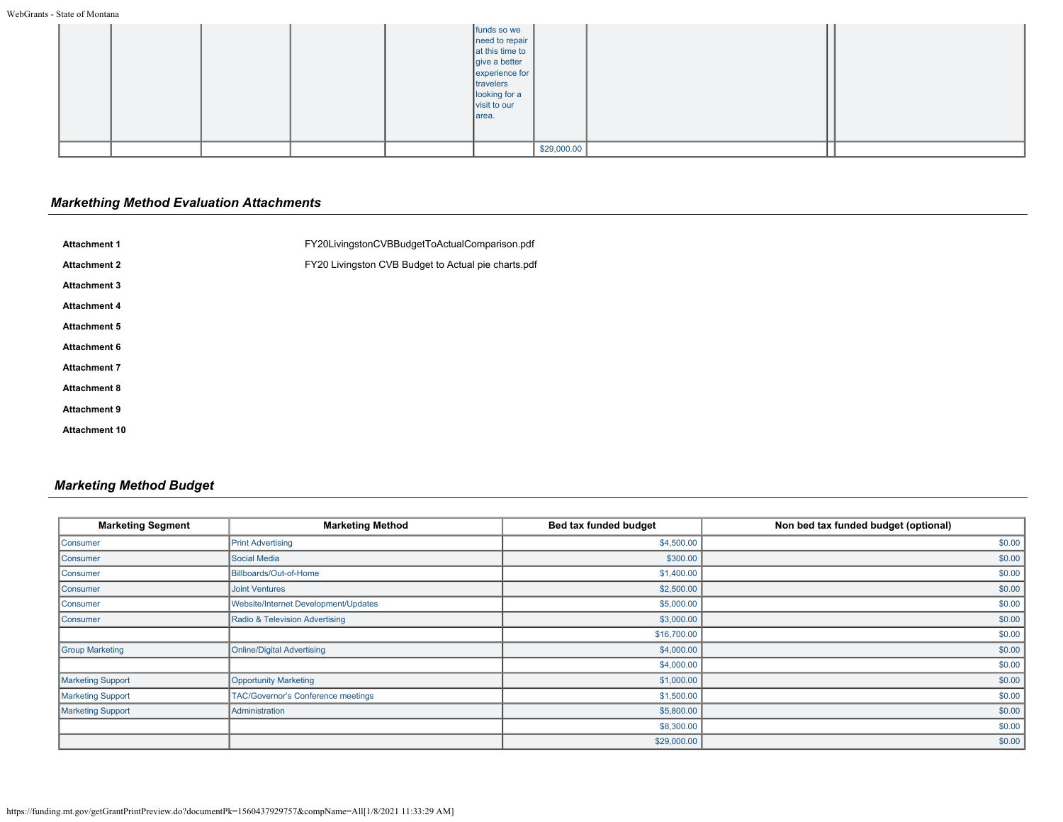|  |  | funds so we<br>need to repair<br>at this time to<br>give a better<br>experience for<br>travelers<br>looking for a<br>visit to our<br> area. |             |  |
|--|--|---------------------------------------------------------------------------------------------------------------------------------------------|-------------|--|
|  |  |                                                                                                                                             | \$29,000.00 |  |

## *Markething Method Evaluation Attachments*

| FY20LivingstonCVBBudgetToActualComparison.pdf       |
|-----------------------------------------------------|
| FY20 Livingston CVB Budget to Actual pie charts.pdf |
|                                                     |
|                                                     |
|                                                     |
|                                                     |
|                                                     |
|                                                     |
|                                                     |
|                                                     |
|                                                     |

## *Marketing Method Budget*

| <b>Marketing Segment</b> | <b>Marketing Method</b>                   | Bed tax funded budget | Non bed tax funded budget (optional) |
|--------------------------|-------------------------------------------|-----------------------|--------------------------------------|
| Consumer                 | <b>Print Advertising</b>                  | \$4,500.00            | \$0.00                               |
| Consumer                 | Social Media                              | \$300.00              | \$0.00                               |
| Consumer                 | Billboards/Out-of-Home                    | \$1,400.00            | \$0.00                               |
| Consumer                 | <b>Joint Ventures</b>                     | \$2,500.00            | \$0.00                               |
| Consumer                 | Website/Internet Development/Updates      | \$5,000.00            | \$0.00                               |
| Consumer                 | Radio & Television Advertising            | \$3,000.00            | \$0.00                               |
|                          |                                           | \$16,700.00           | \$0.00                               |
| <b>Group Marketing</b>   | Online/Digital Advertising                | \$4,000.00            | \$0.00                               |
|                          |                                           | \$4,000.00            | \$0.00                               |
| <b>Marketing Support</b> | Opportunity Marketing                     | \$1,000.00            | \$0.00                               |
| Marketing Support        | <b>TAC/Governor's Conference meetings</b> | \$1,500.00            | \$0.00                               |
| <b>Marketing Support</b> | Administration                            | \$5,800.00            | \$0.00                               |
|                          |                                           | \$8,300.00            | \$0.00                               |
|                          |                                           | \$29,000.00           | \$0.00                               |